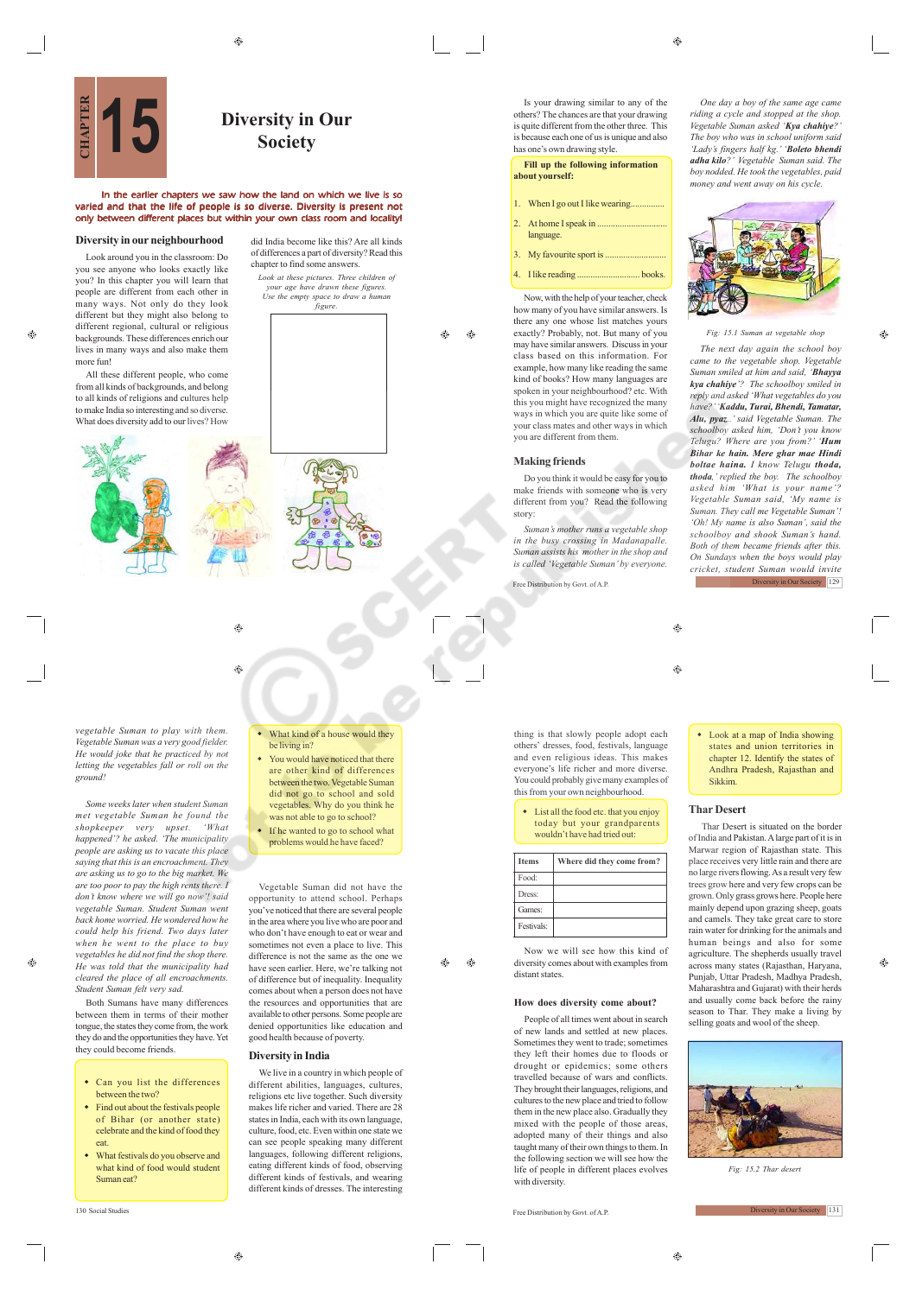## **Diversity in Our 15 Society**

did India become like this? Are all kinds of differences a part of diversity? Read this chapter to find some answers.

*Look at these pictures. Three children of your age have drawn these figures. Use the empty space to draw a human figure.*

ക

 $\bigoplus$ 

#### In the earlier chapters we saw how the land on which we live is so varied and that the life of people is so diverse. Diversity is present not only between different places but within your own class room and locality!

#### **Diversity in our neighbourhood**

Look around you in the classroom: Do you see anyone who looks exactly like you? In this chapter you will learn that people are different from each other in many ways. Not only do they look different but they might also belong to different regional, cultural or religious backgrounds. These differences enrich our lives in many ways and also make them more fun!

æ

All these different people, who come from all kinds of backgrounds, and belong to all kinds of religions and cultures help to make India so interesting and so diverse. What does diversity add to our lives? How



### ۵ ۳

*vegetable Suman to play with them. Vegetable Suman was a very good fielder. He would joke that he practiced by not letting the vegetables fall or roll on the ground!*

*Some weeks later when student Suman met vegetable Suman he found the shopkeeper very upset. 'What happened'? he asked. 'The municipality people are asking us to vacate this place saying that this is an encroachment. They are asking us to go to the big market. We are too poor to pay the high rents there. I don't know where we will go now'! said vegetable Suman. Student Suman went back home worried. He wondered how he could help his friend. Two days later when he went to the place to buy vegetables he did not find the shop there. He was told that the municipality had cleared the place of all encroachments. Student Suman felt very sad.*

Both Sumans have many differences between them in terms of their mother tongue, the states they come from, the work they do and the opportunities they have. Yet they could become friends.

- Can you list the differences between the two?
- Find out about the festivals people of Bihar (or another state) celebrate and the kind of food they eat.
- What festivals do you observe and what kind of food would student Suman eat?

 $\oplus$ 

- What kind of a house would they be living in? You would have noticed that there
- are other kind of differences between the two. Vegetable Suman did not go to school and sold vegetables. Why do you think he was not able to go to school?
- If he wanted to go to school what problems would he have faced?

Vegetable Suman did not have the opportunity to attend school. Perhaps you've noticed that there are several people in the area where you live who are poor and who don't have enough to eat or wear and sometimes not even a place to live. This difference is not the same as the one we have seen earlier. Here, we're talking not of difference but of inequality. Inequality comes about when a person does not have the resources and opportunities that are available to other persons. Some people are denied opportunities like education and good health because of poverty.

Æ۵ ⊕

#### **Diversity in India**

We live in a country in which people of different abilities, languages, cultures, religions etc live together. Such diversity makes life richer and varied. There are 28 states in India, each with its own language, culture, food, etc. Even within one state we can see people speaking many different languages, following different religions, eating different kinds of food, observing different kinds of festivals, and wearing different kinds of dresses. The interesting

Is your drawing similar to any of the others? The chances are that your drawing is quite different from the other three. This is because each one of us is unique and also has one's own drawing style.

 $\bigcirc$ 

#### **Fill up the following information about yourself:**

- When I go out I like wearing...
- 2. At home I speak in .
- language.
- 3. My favourite sport is ...
- 4. I like reading ............................ books.

Now, with the help of your teacher, check how many of you have similar answers. Is there any one whose list matches yours exactly? Probably, not. But many of you may have similar answers. Discuss in your class based on this information. For example, how many like reading the same kind of books? How many languages are spoken in your neighbourhood? etc. With this you might have recognized the many ways in which you are quite like some of your class mates and other ways in which you are different from them.

#### **Making friends**

Do you think it would be easy for you to make friends with someone who is very different from you? Read the following story:

*Suman's mother runs a vegetable shop in the busy crossing in Madanapalle. Suman assists his mother in the shop and is called 'Vegetable Suman' by everyone.*

Free Distribution by Govt. of A.P.

 $\bigoplus$ 

thing is that slowly people adopt each others' dresses, food, festivals, language and even religious ideas. This makes everyone's life richer and more diverse. You could probably give many examples of this from your own neighbourhood.

 List all the food etc. that you enjoy today but your grandparents wouldn't have had tried out:

| <b>Items</b>       | Where did they come from? |
|--------------------|---------------------------|
| Food:              |                           |
| Dress <sup>-</sup> |                           |
| Games:             |                           |
| Festivals:         |                           |

Now we will see how this kind of diversity comes about with examples from distant states.

#### **How does diversity come about?**

People of all times went about in search of new lands and settled at new places. Sometimes they went to trade; sometimes they left their homes due to floods or drought or epidemics; some others travelled because of wars and conflicts. They brought their languages, religions, and cultures to the new place and tried to follow them in the new place also. Gradually they mixed with the people of those areas. adopted many of their things and also taught many of their own things to them. In the following section we will see how the life of people in different places evolves with diversity.

130 Social Studies Free Distribution by Govt. of A.P.

*One day a boy of the same age came riding a cycle and stopped at the shop. Vegetable Suman asked 'Kya chahiye?' The boy who was in school uniform said 'Lady's fingers half kg.' 'Boleto bhendi adha kilo?' Vegetable Suman said. The boy nodded. He took the vegetables, paid money and went away on his cycle.*



#### *Fig: 15.1 Suman at vegetable shop*

Ô.

*The next day again the school boy came to the vegetable shop. Vegetable Suman smiled at him and said, 'Bhayya kya chahiye'? The schoolboy smiled in reply and asked 'What vegetables do you have?' 'Kaddu, Turai, Bhendi, Tamatar, Alu, pyaz..' said Vegetable Suman. The schoolboy asked him, 'Don't you know Telugu? Where are you from?' 'Hum Bihar ke hain. Mere ghar mae Hindi boltae haina. I know Telugu thoda, thoda,' replied the boy. The schoolboy asked him 'What is your name'? Vegetable Suman said, 'My name is Suman. They call me Vegetable Suman'! 'Oh! My name is also Suman', said the schoolboy and shook Suman's hand. Both of them became friends after this. On Sundays when the boys would play cricket, student Suman would invite* **Diversity in Our Society** 129

 $\bigcirc$ 

 Look at a map of India showing states and union territories in chapter 12. Identify the states of Andhra Pradesh, Rajasthan and Sikkim.

#### **Thar Desert**

 Thar Desert is situated on the border of India and Pakistan. A large part of it is in Marwar region of Rajasthan state. This place receives very little rain and there are no large rivers flowing. As a result very few trees grow here and very few crops can be grown. Only grass grows here. People here mainly depend upon grazing sheep, goats and camels. They take great care to store rain water for drinking for the animals and human beings and also for some agriculture. The shepherds usually travel across many states (Rajasthan, Haryana, Punjab, Uttar Pradesh, Madhya Pradesh, Maharashtra and Gujarat) with their herds and usually come back before the rainy season to Thar. They make a living by selling goats and wool of the sheep.



*Fig: 15.2 Thar desert*